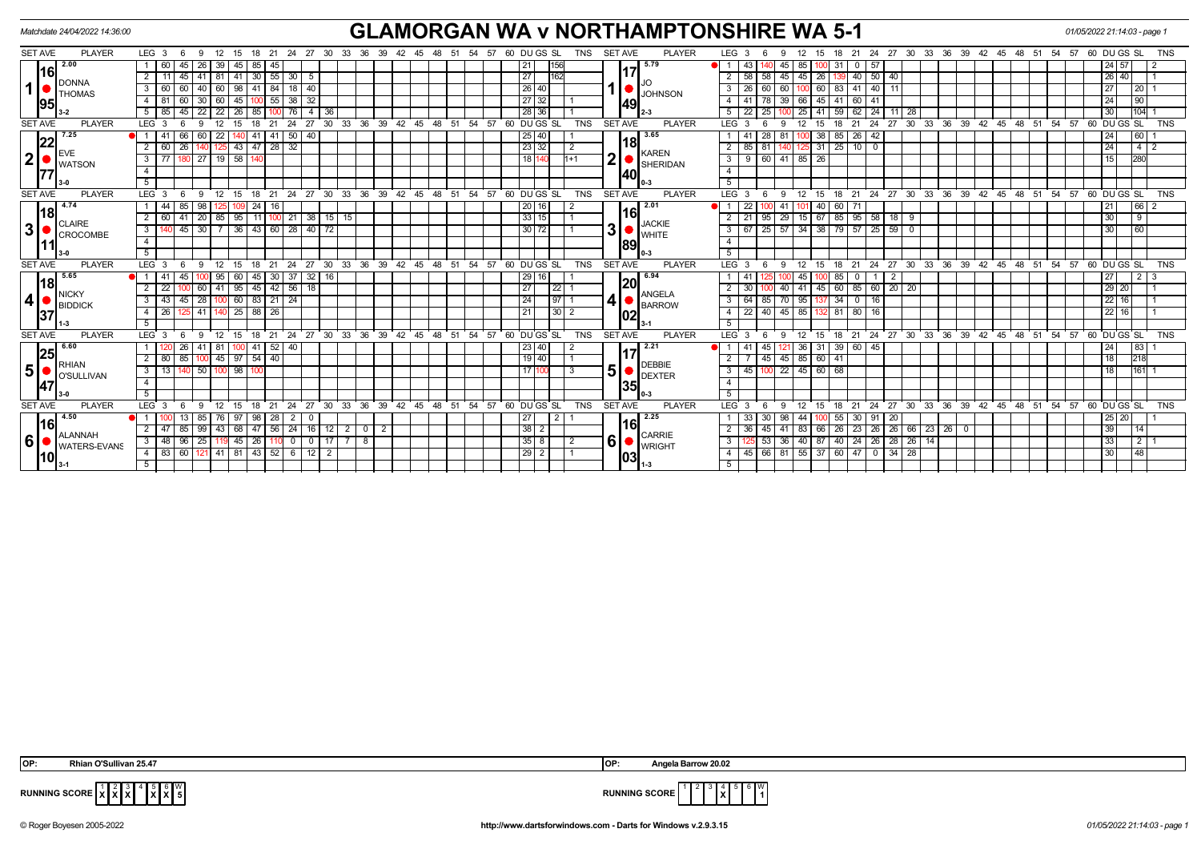| Matchdate 24/04/2022 14:36:00                                                                |                                                                                                                                                                                                                                                                                           | <b>GLAMORGAN WA v NORTHAMPTONSHIRE WA 5-1</b>                                                                                                                                    |                                                                                                                                                                                                                                          | 01/05/2022 21:14:03 - page 1                         |
|----------------------------------------------------------------------------------------------|-------------------------------------------------------------------------------------------------------------------------------------------------------------------------------------------------------------------------------------------------------------------------------------------|----------------------------------------------------------------------------------------------------------------------------------------------------------------------------------|------------------------------------------------------------------------------------------------------------------------------------------------------------------------------------------------------------------------------------------|------------------------------------------------------|
| <b>SET AVE</b><br><b>PLAYER</b>                                                              | LEG $3 \quad 6$<br>12<br>21<br>-9<br>15<br>18<br>- 24<br>- 27<br>- 30                                                                                                                                                                                                                     | TNS SET AVE<br><b>PLAYER</b><br>60 DU GS SL<br>54<br>57<br>33<br>-36<br>-39<br>42<br>- 45<br>48<br>- 51                                                                          | LEG <sub>3</sub><br>24 27<br>30 33 36<br>- 39<br>-48<br>15<br>18<br>-21<br>42 45<br>- 51<br>- 6                                                                                                                                          | 57<br>60 DU GS SL<br><b>TNS</b><br>- 54              |
| 2.00<br>16<br><b>DONNA</b><br>1 <sup>1</sup><br><b>THOMAS</b><br><b>95</b>                   | 45  <br>45<br>26<br>39<br>85<br>45<br>$30 \mid 55 \mid 30 \mid 5$<br>45<br>$-41$<br>2<br>-41<br>-81  <br>$18$   40<br>60<br>98<br>41<br>84<br>60<br>45<br>$38 \mid 32$<br>60<br>30<br>55<br>26<br>76<br>45<br>$\overline{4}$<br>-36                                                       | 5.79<br>156<br>21<br>27<br>162<br>11<br>26 40<br><b>JOHNSON</b><br>27<br> 32<br> 49 <br>28 36                                                                                    | l 57<br>43.<br>85<br>31<br>45<br>40 50<br>2<br>58 58<br>45 45 26<br>40<br>83 41 40<br>60<br>3<br>-26<br>60<br>60<br>45<br>$\overline{4}$<br>$39 \ 66$<br>41<br>60 41<br>$\overline{24}$<br>5<br>25<br>41<br>59 <sub>1</sub><br>11<br>-28 | 24 57<br> 26 40<br>27<br>20<br>24<br>90<br>30<br>104 |
| <b>SET AVE</b><br><b>PLAYER</b>                                                              | LEG <sup>3</sup><br>24<br>30<br>27                                                                                                                                                                                                                                                        | 33<br>36<br>39<br>$42 \quad 45$<br>$^{\degree}$ 48<br>51<br>54<br>57<br>60 DUGS SL<br><b>TNS</b><br><b>SET AVE</b><br><b>PLAYER</b>                                              | . 39<br>LEG <sub>3</sub><br>30<br>$33^\circ$<br>ີ 36<br>42<br>51<br>21<br>24<br>27<br>45<br>-48                                                                                                                                          | 60 DUGS SL<br>54 57<br><b>TNS</b>                    |
| 7.25<br>22<br><b>EVE</b><br>2 <sup>1</sup><br><b>WATSON</b>                                  | 50<br>22<br>40<br>43 47 28<br>32<br>$\overline{26}$<br>2<br>60<br>180 27 19 58<br>  77  <br>3<br>$\overline{4}$<br>5                                                                                                                                                                      | 3.65<br>25 40<br>18<br>$\overline{23}$ 32<br>$\sqrt{2}$<br><b>KAREN</b><br>2<br>18 140<br>$1+1$<br>SHERIDAN<br>140I<br>l 0-3                                                     | 38<br>- 26 I<br>42<br>-28<br>85<br>$125$ 31 25 10 0<br>$\overline{2}$<br>$85$ $81$<br>$\overline{\mathbf{3}}$<br>9 60 41 85 26<br>$\overline{4}$<br>5                                                                                    | 60<br>24<br>$\sqrt{4}$<br>24<br>15<br>280            |
| <b>PLAYER</b><br><b>SET AVE</b>                                                              | LEG <sup>3</sup><br>9<br>ີ 12<br>15 18 21<br>-6                                                                                                                                                                                                                                           | $24$ 27 30 33 36 39 42 45 48 51<br>54.57<br>60 DUGS SL<br><b>TNS</b><br><b>SET AVE</b><br><b>PLAYER</b>                                                                          | LEG <sub>3</sub><br>12 15<br>18 21 24 27 30 33 36 39 42 45 48 51 54 57 60 DUGS SL<br>6<br>9                                                                                                                                              | <b>TNS</b>                                           |
| 4.74<br> 18<br><b>CLAIRE</b><br>3 <br>CROCOMBE<br>$3 - 0$                                    | 85<br>98<br>24<br>44<br>16<br>95<br>$\overline{2}$<br>41<br>$\overline{20}$<br>11<br>21<br>38   15<br>85<br>36 43 60 28 40 72<br>30<br>$\overline{\mathbf{3}}$<br>45<br>$\overline{4}$<br>5                                                                                               | 2.01<br>20 16<br>2<br>33 15<br>15<br><b>JACKIE</b><br>3<br>$\overline{30 72}$<br><b>WHITE</b><br>89<br>ll 0-3                                                                    | 22<br>41<br>40<br>60 71<br>29 15 67<br>85 95 58<br>95<br>$18$   9<br>2<br>21<br>  25   57   34   38   79   57   25   59   0<br>$\overline{\mathbf{3}}$<br>$\overline{4}$<br>$\overline{5}$                                               | 66 2<br>  21<br>30<br>9<br>30<br>60                  |
| <b>SET AVE</b><br><b>PLAYER</b>                                                              | LEG <sub>3</sub><br>$^{\circ}$ 24<br>$27 \cdot 30$<br>12<br>15<br>18<br>21                                                                                                                                                                                                                | 33 36 39 42 45 48 51 54 57 60 DUGS SL<br><b>TNS</b><br><b>SET AVE</b><br><b>PLAYER</b>                                                                                           | 18 21 24 27 30 33 36 39 42 45 48 51 54 57 60 DUGS SL<br>LEG <sub>3</sub><br>12<br>15                                                                                                                                                     | <b>TNS</b>                                           |
| 5.65<br>18<br><b>NICKY</b><br>$\vert$<br><b>BIDDICK</b><br> 37                               | 37 <br>$32 \mid 16$<br>11<br>45<br>  95<br>60 <sub>1</sub><br>45   30  <br>45 42 56 18<br>95<br>22<br>60<br>41<br>60<br>$83 \mid 21$<br>24<br>28<br>3<br>43<br>45<br>25<br>88 26<br>-26<br>41<br>$\overline{4}$<br>5                                                                      | 6.94<br>$29$ 16<br>120<br>27<br>22<br>ANGELA<br>4<br>24<br>$97 \mid$<br><b>BARROW</b><br>21<br>$30$   2<br>102                                                                   | 85 I<br>$\overline{2}$<br>45<br>0<br>60 85 60 20 20<br>2<br>45<br>40 41<br>70 95<br>34<br> 16<br>$\mathbf{3}$<br>64<br>85<br>137<br>$45 \ 85$<br>$\overline{4}$<br>22<br>40<br>81<br>80<br>16<br>5                                       | 27<br>$2 \mid 3$<br>29 20<br>22 16<br>22 16          |
| <b>SET AVE</b><br><b>PLAYER</b>                                                              | 24<br>27<br>30 <sup>°</sup><br>LEG <sub>3</sub><br>21<br>18                                                                                                                                                                                                                               | 39<br>33<br>36<br>$42 \quad 45$<br>$-48$<br>54<br>57<br>60 DU GS SL<br><b>TNS</b><br><b>SET AVE</b><br>51<br><b>PLAYER</b>                                                       | 33 36 39<br>21<br>24<br>27<br>30 <sup>2</sup><br>$42 \t 45 \t 48$<br>51<br>LEG<br>15<br>18                                                                                                                                               | 54<br>57<br>$60$ DU GS SL<br><b>TNS</b>              |
| 6.60<br>25<br>RHIAN<br>5 <sup>1</sup><br>O'SULLIVAN<br> 47                                   | 26<br>$52 \mid 40$<br>100 41<br>81<br>-41<br>85<br>$100$ 45 97 54 40<br>2<br>80<br>98<br>50<br>$\mathbf{3}$<br>13<br>$\overline{4}$<br>5                                                                                                                                                  | 2.21<br>23 40<br>2<br>19   40<br><b>DEBBIE</b><br>5<br><b>DEXTER</b><br><b>1351</b>                                                                                              | 39 60 45<br>36 31<br>45<br>-41<br>45<br>45 85 60<br>41<br>2<br>22 45 60<br>68<br>$\overline{3}$<br>45<br>$\overline{4}$<br>5                                                                                                             | 24<br>83<br>18<br>218<br>18<br>161                   |
| <b>SET AVE</b><br><b>PLAYER</b>                                                              | LEG <sub>3</sub><br>12<br>15<br>18<br>21<br>24<br>27<br>- 30<br>$\mathbf{q}$                                                                                                                                                                                                              | <b>PLAYER</b><br>33<br>36 39<br>$42 \quad 45$<br>$^{\circ}$ 48<br>51<br>54<br>60 DUGS SL<br><b>TNS</b><br><b>SET AVE</b><br>57                                                   | LEG <sub>3</sub><br>$30^{\circ}$<br>$33 \quad 36 \quad 39$<br>$42 \quad 45 \quad 48$<br>51<br>12 <sup>12</sup><br>18<br>21<br>24<br>27<br>-6<br>$\mathbf{Q}$<br>15                                                                       | 54.57<br>60 DUGS SL<br><b>TNS</b>                    |
| 4.50<br> 16 <br><b>ALANNAH</b><br>$6\phantom{1}6$<br><b>WATERS-EVANS</b><br>110 <sub>l</sub> | 97   98   28  <br>13 <sup>1</sup><br>85<br>2 <sup>1</sup><br>76 I<br>- 0<br>47   85   99   43   68   47   56   24   16   12  <br>2<br>3   48   96   25<br>$145$   26  <br>$\mathbf{0}$<br>l 17 I<br>$\overline{\mathbf{0}}$<br>60 121<br>1 41 81 43 52 6 12 2<br>l 83 l<br>$\overline{4}$ | 2.25<br>$\overline{2}$<br>27<br>$38$   2<br>2 0 2<br><b>CARRIE</b><br>6 <sup>1</sup><br>$35$   8<br>$\vert 2 \vert$<br>$\overline{7}$<br>- 8<br><b>WRIGHT</b><br>$29$   2<br> 03 | 55 30 91 20<br>-33 I<br>-30<br>98 44 100<br>36 45 41 83 66 26 23 26 26 66 23 26 0<br>2<br>40 24 26 28 26 14<br>$\mathbf{3}$<br>125 53 36 40 87<br>45 66 81 55 37 60 47 0 34 28<br>$\overline{4}$                                         | 25   20  <br>39<br> 14 <br>33<br>2<br>30<br>48       |

| IOP:<br>า'Sullivan 25.4,<br>Rhian | IOP: | 20.02<br>Angela<br>™ Barrow |
|-----------------------------------|------|-----------------------------|
|-----------------------------------|------|-----------------------------|

 $^{4}$   $\begin{bmatrix} 5 \\ 2 \\ 5 \end{bmatrix}$   $^{6}$   $\begin{bmatrix} 0 \\ 5 \\ 5 \end{bmatrix}$ 



**RUNNING SCORE**  $\begin{bmatrix} 1 & 2 & 3 \\ X & X & X \end{bmatrix}$